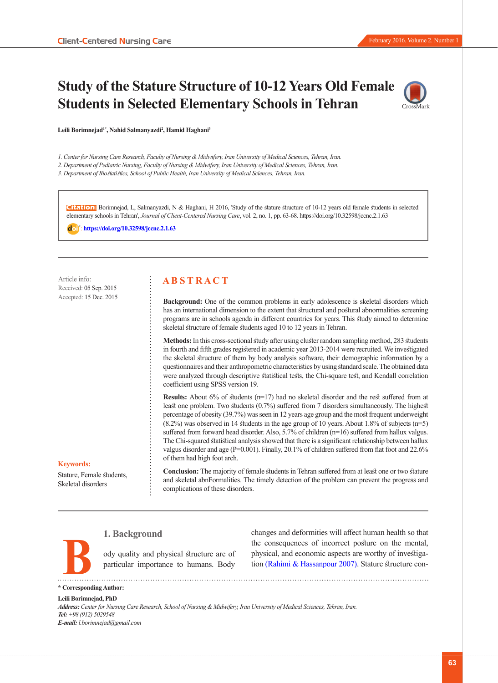# **Study of the Stature Structure of 10-12 Years Old Female Students in Selected Elementary Schools in Tehran**



**Leili Borimnejad1\*, Nahid Salmanyazdi2 , Hamid Haghani3**

*1. Center for Nursing Care Research, Faculty of Nursing & Midwifery, Iran University of Medical Sciences, Tehran, Iran.*

*2. Department of Pediatric Nursing, Faculty of Nursing & Midwifery, Iran University of Medical Sciences, Tehran, Iran.*

*3. Department of Biostatistics, School of Public Health, Iran University of Medical Sciences, Tehran, Iran.*

**Citation:** Borimnejad, L, Salmanyazdi, N & Haghani, H 2016, 'Study of the stature structure of 10-12 years old female students in selected elementary schools in Tehran', *Journal of Client-Centered Nursing Care*, vol. 2, no. 1, pp. 63-68.<https://doi.org/10.32598/jccnc.2.1.63>

: **<https://doi.org/10.32598/jccnc.2.1.63>**

Article info: Received: 05 Sep. 2015 Accepted: 15 Dec. 2015

## **A B S T R A C T**

**Background:** One of the common problems in early adolescence is skeletal disorders which has an international dimension to the extent that structural and postural abnormalities screening programs are in schools agenda in different countries for years. This study aimed to determine skeletal structure of female students aged 10 to 12 years in Tehran.

**Methods:** In this cross-sectional study after using cluster random sampling method, 283 students in fourth and fifth grades registered in academic year 2013-2014 were recruited. We investigated the skeletal structure of them by body analysis software, their demographic information by a questionnaires and their anthropometric characteristics by using standard scale. The obtained data were analyzed through descriptive statistical tests, the Chi-square test, and Kendall correlation coefficient using SPSS version 19.

**Results:** About 6% of students (n=17) had no skeletal disorder and the rest suffered from at least one problem. Two students (0.7%) suffered from 7 disorders simultaneously. The highest percentage of obesity (39.7%) was seen in 12 years age group and the most frequent underweight (8.2%) was observed in 14 students in the age group of 10 years. About 1.8% of subjects (n=5) suffered from forward head disorder. Also, 5.7% of children (n=16) suffered from hallux valgus. The Chi-squared statistical analysis showed that there is a significant relationship between hallux valgus disorder and age (P=0.001). Finally, 20.1% of children suffered from flat foot and 22.6% of them had high foot arch.

#### **Keywords:**

Stature, Female students, Skeletal disorders

**Conclusion:** The majority of female students in Tehran suffered from at least one or two stature and skeletal abnFormalities. The timely detection of the problem can prevent the progress and complications of these disorders.

### **1. Background**

ody quality and physical structure are of particular importance to humans. Body

changes and deformities will affect human health so that the consequences of incorrect posture on the mental, physical, and economic aspects are worthy of investigation [\(Rahimi & Hassanpour 2007\)](#page-4-0). Stature structure con-

**\* Corresponding Author: B**

# **Leili Borimnejad, PhD**

*Address: Center for Nursing Care Research, School of Nursing & Midwifery, Iran University of Medical Sciences, Tehran, Iran. Tel: +98 (912) 5029548 E-mail: l.borimnejad@gmail.com*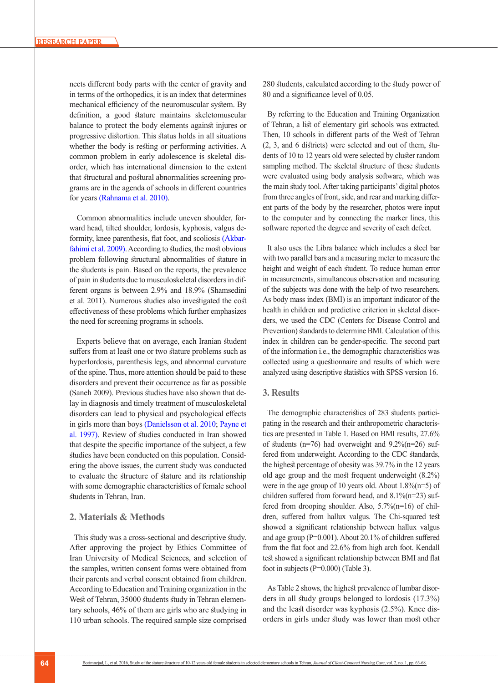nects different body parts with the center of gravity and in terms of the orthopedics, it is an index that determines mechanical efficiency of the neuromuscular system. By definition, a good stature maintains skeletomuscular balance to protect the body elements against injures or progressive distortion. This status holds in all situations whether the body is resting or performing activities. A common problem in early adolescence is skeletal disorder, which has international dimension to the extent that structural and postural abnormalities screening programs are in the agenda of schools in different countries for years [\(Rahnama et al. 2010\)](#page-4-1).

Common abnormalities include uneven shoulder, forward head, tilted shoulder, lordosis, kyphosis, valgus deformity, knee parenthesis, flat foot, and scoliosis ([Akbar](#page-4-2)[fahimi et al. 2009](#page-4-2)). According to studies, the most obvious problem following structural abnormalities of stature in the students is pain. Based on the reports, the prevalence of pain in students due to musculoskeletal disorders in different organs is between 2.9% and 18.9% (Shamsedini et al. 2011). Numerous studies also investigated the cost effectiveness of these problems which further emphasizes the need for screening programs in schools.

 Experts believe that on average, each Iranian student suffers from at least one or two stature problems such as hyperlordosis, parenthesis legs, and abnormal curvature of the spine. Thus, more attention should be paid to these disorders and prevent their occurrence as far as possible (Saneh 2009). Previous studies have also shown that delay in diagnosis and timely treatment of musculoskeletal disorders can lead to physical and psychological effects in girls more than boys [\(Danielsson et al. 2010](#page-4-3); [Payne et](#page-4-4)  [al. 1997\)](#page-4-4). Review of studies conducted in Iran showed that despite the specific importance of the subject, a few studies have been conducted on this population. Considering the above issues, the current study was conducted to evaluate the structure of stature and its relationship with some demographic characteristics of female school students in Tehran, Iran.

#### **2. Materials & Methods**

This study was a cross-sectional and descriptive study. After approving the project by Ethics Committee of Iran University of Medical Sciences, and selection of the samples, written consent forms were obtained from their parents and verbal consent obtained from children. According to Education and Training organization in the West of Tehran, 35000 students study in Tehran elementary schools, 46% of them are girls who are studying in 110 urban schools. The required sample size comprised 280 students, calculated according to the study power of 80 and a significance level of 0.05.

By referring to the Education and Training Organization of Tehran, a list of elementary girl schools was extracted. Then, 10 schools in different parts of the West of Tehran (2, 3, and 6 districts) were selected and out of them, students of 10 to 12 years old were selected by cluster random sampling method. The skeletal structure of these students were evaluated using body analysis software, which was the main study tool. After taking participants' digital photos from three angles of front, side, and rear and marking different parts of the body by the researcher, photos were input to the computer and by connecting the marker lines, this software reported the degree and severity of each defect.

It also uses the Libra balance which includes a steel bar with two parallel bars and a measuring meter to measure the height and weight of each student. To reduce human error in measurements, simultaneous observation and measuring of the subjects was done with the help of two researchers. As body mass index (BMI) is an important indicator of the health in children and predictive criterion in skeletal disorders, we used the CDC (Centers for Disease Control and Prevention) standards to determine BMI. Calculation of this index in children can be gender-specific. The second part of the information i.e., the demographic characteristics was collected using a questionnaire and results of which were analyzed using descriptive statistics with SPSS version 16.

#### **3. Results**

The demographic characteristics of 283 students participating in the research and their anthropometric characteristics are presented in Table 1. Based on BMI results, 27.6% of students ( $n=76$ ) had overweight and  $9.2\%(n=26)$  suffered from underweight. According to the CDC standards, the highest percentage of obesity was 39.7% in the 12 years old age group and the most frequent underweight (8.2%) were in the age group of 10 years old. About 1.8%(n=5) of children suffered from forward head, and 8.1%(n=23) suffered from drooping shoulder. Also, 5.7%(n=16) of children, suffered from hallux valgus. The Chi-squared test showed a significant relationship between hallux valgus and age group (P=0.001). About 20.1% of children suffered from the flat foot and 22.6% from high arch foot. Kendall test showed a significant relationship between BMI and flat foot in subjects (P=0.000) (Table 3).

As Table 2 shows, the highest prevalence of lumbar disorders in all study groups belonged to lordosis (17.3%) and the least disorder was kyphosis (2.5%). Knee disorders in girls under study was lower than most other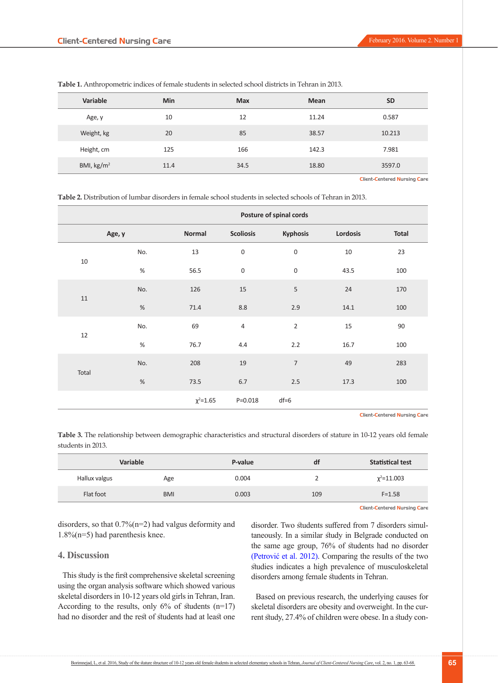| Variable             | Min  | <b>Max</b> | <b>Mean</b> | <b>SD</b> |
|----------------------|------|------------|-------------|-----------|
| Age, y               | 10   | 12         | 11.24       | 0.587     |
| Weight, kg           | 20   | 85         | 38.57       | 10.213    |
| Height, cm           | 125  | 166        | 142.3       | 7.981     |
| BMI, $\text{kg/m}^2$ | 11.4 | 34.5       | 18.80       | 3597.0    |

**Table 1.** Anthropometric indices of female students in selected school districts in Tehran in 2013.

Client-Centered Nursing Care

**Table 2.** Distribution of lumbar disorders in female school students in selected schools of Tehran in 2013.

|        |        | Posture of spinal cords |                  |                          |          |              |  |
|--------|--------|-------------------------|------------------|--------------------------|----------|--------------|--|
|        | Age, y | Normal                  | <b>Scoliosis</b> | <b>Kyphosis</b>          | Lordosis | <b>Total</b> |  |
| 10     | No.    | 13                      | $\mathbf 0$      | 0                        | $10\,$   | 23           |  |
|        | $\%$   | 56.5                    | $\mathsf 0$      | $\boldsymbol{0}$         | 43.5     | 100          |  |
| 11     | No.    | 126                     | 15               | 5                        | 24       | 170          |  |
|        | $\%$   | 71.4                    | $8.8\,$          | 2.9                      | 14.1     | 100          |  |
| $12\,$ | No.    | 69                      | 4                | $\overline{2}$           | 15       | 90           |  |
|        | $\%$   | 76.7                    | 4.4              | 2.2                      | 16.7     | 100          |  |
| Total  | No.    | 208                     | $19\,$           | $\overline{\phantom{a}}$ | 49       | 283          |  |
|        | $\%$   | 73.5                    | 6.7              | 2.5                      | 17.3     | 100          |  |
|        |        | $\chi^2$ =1.65          | $P = 0.018$      | $df=6$                   |          |              |  |

Client-Centered Nursing Care

**Table 3.** The relationship between demographic characteristics and structural disorders of stature in 10-12 years old female students in 2013.

| <b>Variable</b> |            | P-value | df  | <b>Statistical test</b> |
|-----------------|------------|---------|-----|-------------------------|
| Hallux valgus   | Age        | 0.004   |     | $x^2$ =11.003           |
| Flat foot       | <b>BMI</b> | 0.003   | 109 | $F = 1.58$              |

Client-Centered Nursing Care

disorders, so that 0.7%(n=2) had valgus deformity and 1.8%(n=5) had parenthesis knee.

#### **4. Discussion**

This study is the first comprehensive skeletal screening using the organ analysis software which showed various skeletal disorders in 10-12 years old girls in Tehran, Iran. According to the results, only  $6\%$  of students (n=17) had no disorder and the rest of students had at least one

disorder. Two students suffered from 7 disorders simultaneously. In a similar study in Belgrade conducted on the same age group, 76% of students had no disorder (Petrović et al. 2012). Comparing the results of the two studies indicates a high prevalence of musculoskeletal disorders among female students in Tehran.

Based on previous research, the underlying causes for skeletal disorders are obesity and overweight. In the current study, 27.4% of children were obese. In a study con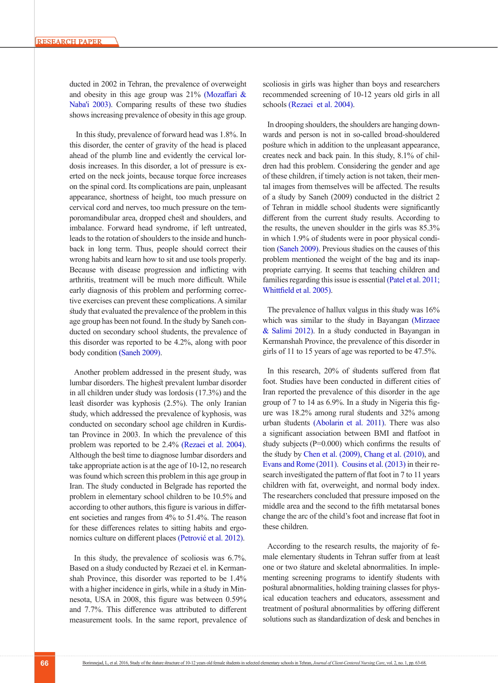ducted in 2002 in Tehran, the prevalence of overweight and obesity in this age group was  $21\%$  (Mozaffari & [Naba'i 2003\).](#page-4-5) Comparing results of these two studies shows increasing prevalence of obesity in this age group.

 In this study, prevalence of forward head was 1.8%. In this disorder, the center of gravity of the head is placed ahead of the plumb line and evidently the cervical lordosis increases. In this disorder, a lot of pressure is exerted on the neck joints, because torque force increases on the spinal cord. Its complications are pain, unpleasant appearance, shortness of height, too much pressure on cervical cord and nerves, too much pressure on the temporomandibular area, dropped chest and shoulders, and imbalance. Forward head syndrome, if left untreated, leads to the rotation of shoulders to the inside and hunchback in long term. Thus, people should correct their wrong habits and learn how to sit and use tools properly. Because with disease progression and inflicting with arthritis, treatment will be much more difficult. While early diagnosis of this problem and performing corrective exercises can prevent these complications. A similar study that evaluated the prevalence of the problem in this age group has been not found. In the study by Saneh conducted on secondary school students, the prevalence of this disorder was reported to be 4.2%, along with poor body condition (Saneh 2009).

Another problem addressed in the present study, was lumbar disorders. The highest prevalent lumbar disorder in all children under study was lordosis (17.3%) and the least disorder was kyphosis (2.5%). The only Iranian study, which addressed the prevalence of kyphosis, was conducted on secondary school age children in Kurdistan Province in 2003. In which the prevalence of this problem was reported to be 2.4% [\(Rezaei et al. 2004\)](#page-4-6). Although the best time to diagnose lumbar disorders and take appropriate action is at the age of 10-12, no research was found which screen this problem in this age group in Iran. The study conducted in Belgrade has reported the problem in elementary school children to be 10.5% and according to other authors, this figure is various in different societies and ranges from 4% to 51.4%. The reason for these differences relates to sitting habits and ergonomics culture on different places (Petrović et al. 2012).

In this study, the prevalence of scoliosis was 6.7%. Based on a study conducted by Rezaei et el. in Kermanshah Province, this disorder was reported to be 1.4% with a higher incidence in girls, while in a study in Minnesota, USA in 2008, this figure was between 0.59% and 7.7%. This difference was attributed to different measurement tools. In the same report, prevalence of scoliosis in girls was higher than boys and researchers recommended screening of 10-12 years old girls in all schools [\(Rezaei et al. 2004\)](#page-4-6).

In drooping shoulders, the shoulders are hanging downwards and person is not in so-called broad-shouldered posture which in addition to the unpleasant appearance, creates neck and back pain. In this study, 8.1% of children had this problem. Considering the gender and age of these children, if timely action is not taken, their mental images from themselves will be affected. The results of a study by Saneh (2009) conducted in the district 2 of Tehran in middle school students were significantly different from the current study results. According to the results, the uneven shoulder in the girls was 85.3% in which 1.9% of students were in poor physical condition (Saneh 2009). Previous studies on the causes of this problem mentioned the weight of the bag and its inappropriate carrying. It seems that teaching children and families regarding this issue is essential (Patel et al. 2011; [Whittfield et al. 2005\)](#page-5-0).

The prevalence of hallux valgus in this study was 16% which was similar to the study in Bayangan [\(Mirzaee](#page-4-8)  [& Salimi 2012\)](#page-4-8). In a study conducted in Bayangan in Kermanshah Province, the prevalence of this disorder in girls of 11 to 15 years of age was reported to be 47.5%.

In this research, 20% of students suffered from flat foot. Studies have been conducted in different cities of Iran reported the prevalence of this disorder in the age group of 7 to 14 as 6.9%. In a study in Nigeria this figure was 18.2% among rural students and 32% among urban students [\(Abolarin et al. 2011\)](#page-4-9). There was also a significant association between BMI and flatfoot in study subjects ( $P=0.000$ ) which confirms the results of the study by [Chen et al. \(2009\),](#page-4-10) [Chang et al. \(2010\)](#page-4-11), and [Evans and Rome \(2011\)](#page-4-12). [Cousins et al. \(2013\)](#page-4-13) in their research investigated the pattern of flat foot in 7 to 11 years children with fat, overweight, and normal body index. The researchers concluded that pressure imposed on the middle area and the second to the fifth metatarsal bones change the arc of the child's foot and increase flat foot in these children.

According to the research results, the majority of female elementary students in Tehran suffer from at least one or two stature and skeletal abnormalities. In implementing screening programs to identify students with postural abnormalities, holding training classes for physical education teachers and educators, assessment and treatment of postural abnormalities by offering different solutions such as standardization of desk and benches in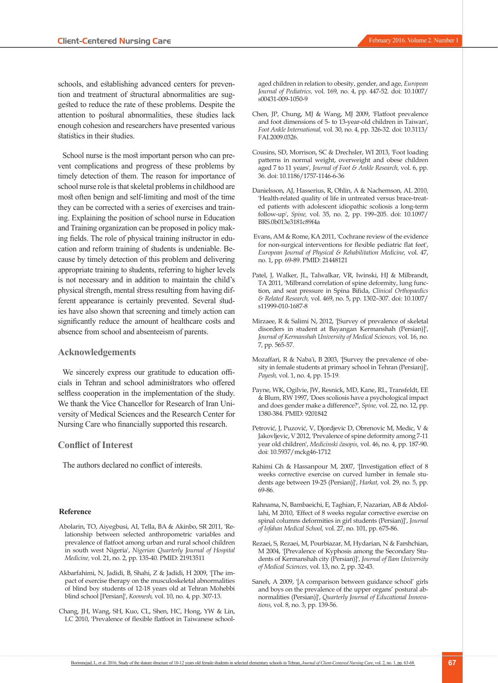schools, and establishing advanced centers for prevention and treatment of structural abnormalities are suggested to reduce the rate of these problems. Despite the attention to postural abnormalities, these studies lack enough cohesion and researchers have presented various statistics in their studies.

School nurse is the most important person who can prevent complications and progress of these problems by timely detection of them. The reason for importance of school nurse role is that skeletal problems in childhood are most often benign and self-limiting and most of the time they can be corrected with a series of exercises and training. Explaining the position of school nurse in Education and Training organization can be proposed in policy making fields. The role of physical training instructor in education and reform training of students is undeniable. Because by timely detection of this problem and delivering appropriate training to students, referring to higher levels is not necessary and in addition to maintain the child's physical strength, mental stress resulting from having different appearance is certainly prevented. Several studies have also shown that screening and timely action can significantly reduce the amount of healthcare costs and absence from school and absenteeism of parents.

#### **Acknowledgements**

We sincerely express our gratitude to education officials in Tehran and school administrators who offered selfless cooperation in the implementation of the study. We thank the Vice Chancellor for Research of Iran University of Medical Sciences and the Research Center for Nursing Care who financially supported this research.

#### **Conflict of Interest**

The authors declared no conflict of interests.

#### **Reference**

- <span id="page-4-9"></span>Abolarin, TO, Aiyegbusi, AI, Tella, BA & Akinbo, SR 2011, 'Relationship between selected anthropometric variables and prevalence of flatfoot among urban and rural school children in south west Nigeria', *Nigerian Quarterly Journal of Hospital Medicine,* vol. 21, no. 2, pp. 135-40. PMID: 21913511
- <span id="page-4-2"></span>Akbarfahimi, N, Jadidi, B, Shahi, Z & Jadidi, H 2009, '[The impact of exercise therapy on the musculoskeletal abnormalities of blind boy students of 12-18 years old at Tehran Mohebbi blind school [Persian]', *Koomesh,* vol. 10, no. 4, pp. 307-13.
- <span id="page-4-11"></span>Chang, JH, Wang, SH, Kuo, CL, Shen, HC, Hong, YW & Lin, LC 2010, 'Prevalence of flexible flatfoot in Taiwanese school-

aged children in relation to obesity, gender, and age, *European Journal of Pediatrics,* vol. 169, no. 4, pp. 447-52. doi: 10.1007/ s00431-009-1050-9

- <span id="page-4-10"></span>Chen, JP, Chung, MJ & Wang, MJ 2009, 'Flatfoot prevalence and foot dimensions of 5- to 13-year-old children in Taiwan', *Foot Ankle International,* vol. 30, no. 4, pp. 326-32. doi: 10.3113/ FAI.2009.0326.
- <span id="page-4-13"></span>Cousins, SD, Morrison, SC & Drechsler, WI 2013, 'Foot loading patterns in normal weight, overweight and obese children aged 7 to 11 years', *Journal of Foot & Ankle Research,* vol. 6, pp. 36. doi: 10.1186/1757-1146-6-36
- <span id="page-4-3"></span>Danielsson, AJ, Hasserius, R, Ohlin, A & Nachemson, AL 2010, 'Health-related quality of life in untreated versus brace-treated patients with adolescent idiopathic scoliosis a long-term follow-up', *Spine,* vol. 35, no. 2, pp. 199–205. doi: 10.1097/ BRS.0b013e3181c89f4a
- <span id="page-4-12"></span> Evans, AM & Rome, KA 2011, 'Cochrane review of the evidence for non-surgical interventions for flexible pediatric flat feet', *European Journal of Physical & Rehabilitation Medicine,* vol. 47, no. 1, pp. 69-89. PMID: 21448121
- <span id="page-4-7"></span>Patel, J, Walker, JL, Talwalkar, VR, Iwinski, HJ & Milbrandt, TA 2011, 'Milbrand correlation of spine deformity, lung function, and seat pressure in Spina Bifida, *Clinical Orthopaedics & Related Research,* vol. 469, no. 5, pp. 1302–307. doi: 10.1007/ s11999-010-1687-8
- <span id="page-4-8"></span>Mirzaee, R & Salimi N, 2012, '[Survey of prevalence of skeletal disorders in student at Bayangan Kermanshah (Persian)]', *Journal of Kermanshah University of Medical Sciences,* vol. 16, no. 7, pp. 565-57.
- <span id="page-4-5"></span>Mozaffari, R & Naba'i, B 2003, '[Survey the prevalence of obesity in female students at primary school in Tehran (Persian)]', *Payesh,* vol. 1, no. 4, pp. 15-19.
- <span id="page-4-4"></span>Payne, WK, Ogilvie, JW, Resnick, MD, Kane, RL, Transfeldt, EE & Blum, RW 1997, 'Does scoliosis have a psychological impact and does gender make a difference?', *Spine,* vol. 22, no. 12, pp. 1380-384. PMID: 9201842
- Petrović, J, Puzović, V, Djordjevic D, Obrenovic M, Medic, V & Jakovljevic, V 2012, 'Prevalence of spine deformity among 7-11 year old children', *Medicinski časopis,* vol. 46, no. 4, pp. 187-90. doi: 10.5937/mckg46-1712
- <span id="page-4-0"></span>Rahimi Gh & Hassanpour M, 2007, '[Investigation effect of 8 weeks corrective exercise on curved lumber in female students age between 19-25 (Persian)]', *Harkat,* vol. 29, no. 5, pp. 69-86.
- <span id="page-4-1"></span>Rahnama, N, Bambaeichi, E, Taghian, F, Nazarian, AB & Abdollahi, M 2010, 'Effect of 8 weeks regular corrective exercise on spinal columns deformities in girl students (Persian)]', *Journal of Isfahan Medical School,* vol. 27, no. 101, pp. 675-86.
- <span id="page-4-6"></span>Rezaei, S, Rezaei, M, Pourbiazar, M, Hydarian, N & Farshchian, M 2004, '[Prevalence of Kyphosis among the Secondary Students of Kermanshah city (Persian)]', *Journal of Ilam University of Medical Sciences,* vol. 13, no. 2, pp. 32-43.
- Saneh, A 2009, '[A comparison between guidance school' girls and boys on the prevalence of the upper organs' postural abnormalities (Persian)]', *Quarterly Journal of Educational Innovations,* vol. 8, no. 3, pp. 139-56.